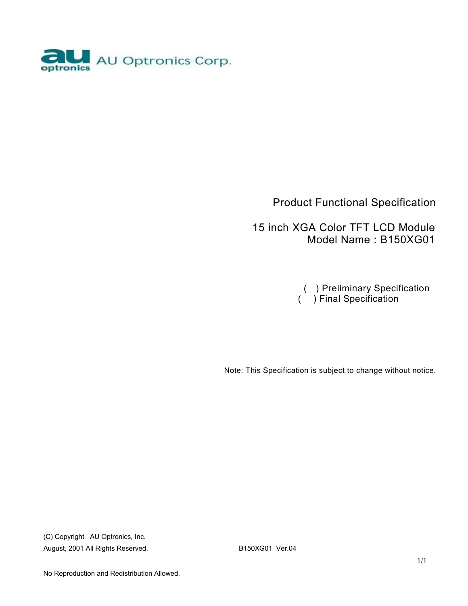

### Product Functional Specification

 15 inch XGA Color TFT LCD Module Model Name : B150XG01

 ( ) Preliminary Specification ( ) Final Specification

Note: This Specification is subject to change without notice.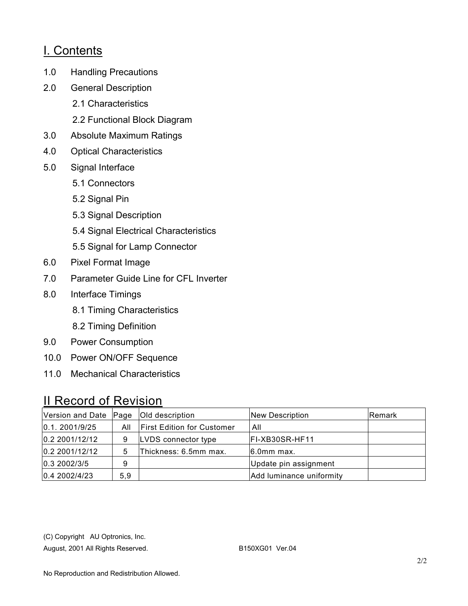### I. Contents

- 1.0 Handling Precautions
- 2.0 General Description
	- 2.1 Characteristics
	- 2.2 Functional Block Diagram
- 3.0 Absolute Maximum Ratings
- 4.0 Optical Characteristics
- 5.0 Signal Interface
	- 5.1 Connectors
	- 5.2 Signal Pin
	- 5.3 Signal Description
	- 5.4 Signal Electrical Characteristics
	- 5.5 Signal for Lamp Connector
- 6.0 Pixel Format Image
- 7.0 Parameter Guide Line for CFL Inverter
- 8.0 Interface Timings
	- 8.1 Timing Characteristics
	- 8.2 Timing Definition
- 9.0 Power Consumption
- 10.0 Power ON/OFF Sequence
- 11.0 Mechanical Characteristics

### II Record of Revision

| Version and Date Page |     | Old description                   | New Description          | <b>Remark</b> |
|-----------------------|-----|-----------------------------------|--------------------------|---------------|
| 0.1.2001/9/25         | All | <b>First Edition for Customer</b> | All                      |               |
| 0.2 2001/12/12        | 9   | LVDS connector type               | FI-XB30SR-HF11           |               |
| 0.2 2001/12/12        | 5   | Thickness: 6.5mm max.             | $6.0mm$ max.             |               |
| 0.3 2002/3/5          | 9   |                                   | Update pin assignment    |               |
| 0.4 2002/4/23         | 5,9 |                                   | Add luminance uniformity |               |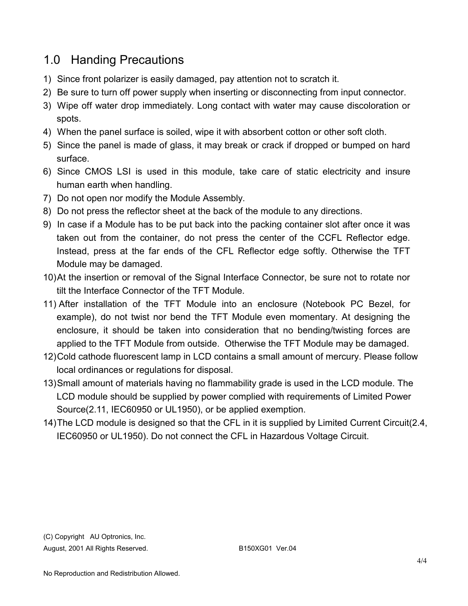## 1.0 Handing Precautions

- 1) Since front polarizer is easily damaged, pay attention not to scratch it.
- 2) Be sure to turn off power supply when inserting or disconnecting from input connector.
- 3) Wipe off water drop immediately. Long contact with water may cause discoloration or spots.
- 4) When the panel surface is soiled, wipe it with absorbent cotton or other soft cloth.
- 5) Since the panel is made of glass, it may break or crack if dropped or bumped on hard surface.
- 6) Since CMOS LSI is used in this module, take care of static electricity and insure human earth when handling.
- 7) Do not open nor modify the Module Assembly.
- 8) Do not press the reflector sheet at the back of the module to any directions.
- 9) In case if a Module has to be put back into the packing container slot after once it was taken out from the container, do not press the center of the CCFL Reflector edge. Instead, press at the far ends of the CFL Reflector edge softly. Otherwise the TFT Module may be damaged.
- 10)At the insertion or removal of the Signal Interface Connector, be sure not to rotate nor tilt the Interface Connector of the TFT Module.
- 11) After installation of the TFT Module into an enclosure (Notebook PC Bezel, for example), do not twist nor bend the TFT Module even momentary. At designing the enclosure, it should be taken into consideration that no bending/twisting forces are applied to the TFT Module from outside. Otherwise the TFT Module may be damaged.
- 12)Cold cathode fluorescent lamp in LCD contains a small amount of mercury. Please follow local ordinances or regulations for disposal.
- 13)Small amount of materials having no flammability grade is used in the LCD module. The LCD module should be supplied by power complied with requirements of Limited Power Source(2.11, IEC60950 or UL1950), or be applied exemption.
- 14)The LCD module is designed so that the CFL in it is supplied by Limited Current Circuit(2.4, IEC60950 or UL1950). Do not connect the CFL in Hazardous Voltage Circuit.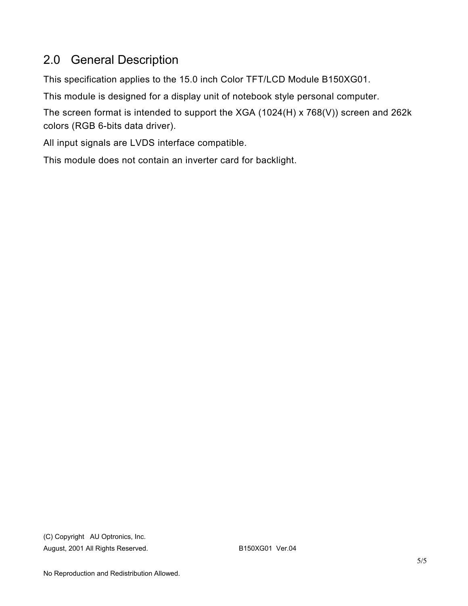# 2.0 General Description

This specification applies to the 15.0 inch Color TFT/LCD Module B150XG01.

This module is designed for a display unit of notebook style personal computer.

The screen format is intended to support the XGA (1024(H) x 768(V)) screen and 262k colors (RGB 6-bits data driver).

All input signals are LVDS interface compatible.

This module does not contain an inverter card for backlight.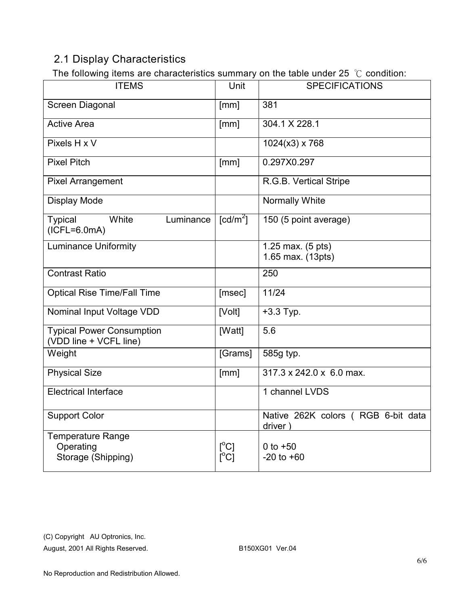### 2.1 Display Characteristics

The following items are characteristics summary on the table under 25 ℃ condition:

| . . <b>.</b><br><b>ITEMS</b>                               | Unit                                             | <b>SPECIFICATIONS</b>                         |
|------------------------------------------------------------|--------------------------------------------------|-----------------------------------------------|
| Screen Diagonal                                            | [mm]                                             | 381                                           |
| <b>Active Area</b>                                         | [mm]                                             | 304.1 X 228.1                                 |
| Pixels H x V                                               |                                                  | $1024(x3)$ x 768                              |
| <b>Pixel Pitch</b>                                         | [mm]                                             | 0.297X0.297                                   |
| <b>Pixel Arrangement</b>                                   |                                                  | R.G.B. Vertical Stripe                        |
| <b>Display Mode</b>                                        |                                                  | Normally White                                |
| <b>Typical</b><br>White<br>Luminance<br>$(ICFL=6.0mA)$     | $[cd/m^2]$                                       | 150 (5 point average)                         |
| <b>Luminance Uniformity</b>                                |                                                  | 1.25 max. (5 pts)<br>1.65 max. (13pts)        |
| <b>Contrast Ratio</b>                                      |                                                  | 250                                           |
| <b>Optical Rise Time/Fall Time</b>                         | [msec]                                           | 11/24                                         |
| Nominal Input Voltage VDD                                  | [Volt]                                           | $+3.3$ Typ.                                   |
| <b>Typical Power Consumption</b><br>(VDD line + VCFL line) | [Watt]                                           | 5.6                                           |
| Weight                                                     | [Grams]                                          | 585g typ.                                     |
| <b>Physical Size</b>                                       | [mm]                                             | 317.3 x 242.0 x 6.0 max.                      |
| <b>Electrical Interface</b>                                |                                                  | 1 channel LVDS                                |
| <b>Support Color</b>                                       |                                                  | Native 262K colors (RGB 6-bit data<br>driver) |
| Temperature Range<br>Operating<br>Storage (Shipping)       | $\lceil{^{\circ}C}\rceil$<br>$\Gamma^{\circ}$ Cl | 0 to $+50$<br>$-20$ to $+60$                  |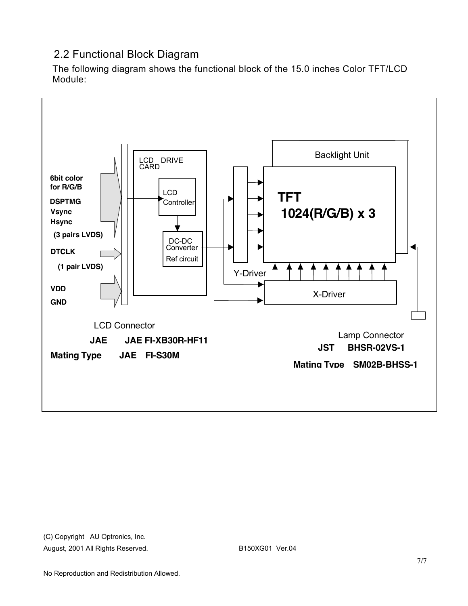### 2.2 Functional Block Diagram

The following diagram shows the functional block of the 15.0 inches Color TFT/LCD Module:

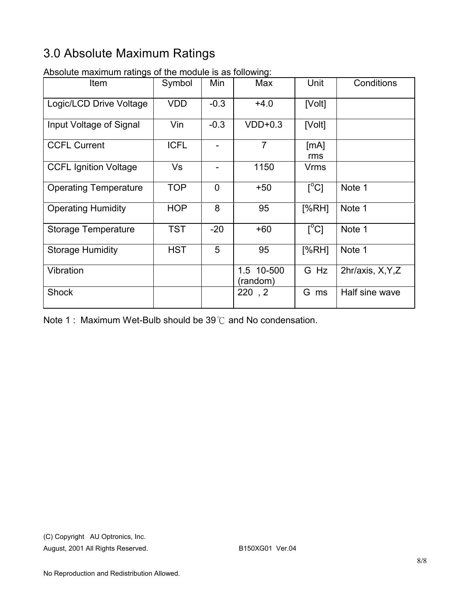# 3.0 Absolute Maximum Ratings

| wooldto maximum rutingo or tho modulo io do rollowing.<br>Item | Symbol      | Min            | Max                    | Unit                      | Conditions        |
|----------------------------------------------------------------|-------------|----------------|------------------------|---------------------------|-------------------|
| Logic/LCD Drive Voltage                                        | <b>VDD</b>  | $-0.3$         | $+4.0$                 | [Volt]                    |                   |
| Input Voltage of Signal                                        | Vin         | $-0.3$         | $VDD+0.3$              | [Volt]                    |                   |
| <b>CCFL Current</b>                                            | <b>ICFL</b> | $\overline{a}$ | $\overline{7}$         | [mA]<br>rms               |                   |
| <b>CCFL Ignition Voltage</b>                                   | Vs          |                | 1150                   | Vrms                      |                   |
| <b>Operating Temperature</b>                                   | <b>TOP</b>  | $\overline{0}$ | $+50$                  | $\lceil{^{\circ}C}\rceil$ | Note 1            |
| <b>Operating Humidity</b>                                      | <b>HOP</b>  | 8              | 95                     | [%RH]                     | Note 1            |
| <b>Storage Temperature</b>                                     | <b>TST</b>  | $-20$          | $+60$                  | $\sqrt{C}$                | Note 1            |
| <b>Storage Humidity</b>                                        | <b>HST</b>  | 5              | 95                     | [%RH]                     | Note 1            |
| Vibration                                                      |             |                | 1.5 10-500<br>(random) | G Hz                      | 2hr/axis, X, Y, Z |
| <b>Shock</b>                                                   |             |                | 220, 2                 | G ms                      | Half sine wave    |

Absolute maximum ratings of the module is as following:

Note 1 : Maximum Wet-Bulb should be 39℃ and No condensation.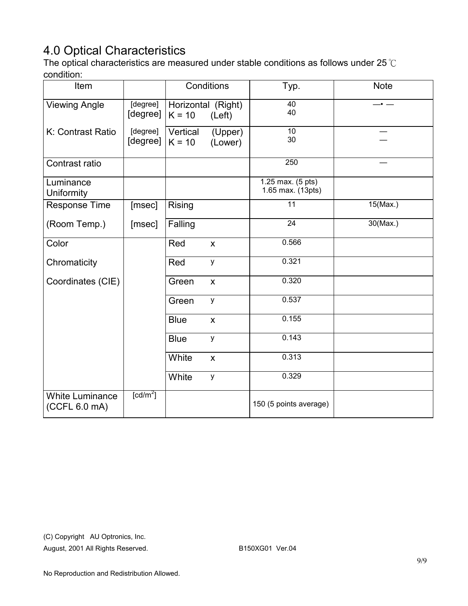# 4.0 Optical Characteristics

The optical characteristics are measured under stable conditions as follows under 25℃ condition:

| Item                                    |                        |                                | Conditions                | Typ.                                   | <b>Note</b> |
|-----------------------------------------|------------------------|--------------------------------|---------------------------|----------------------------------------|-------------|
| <b>Viewing Angle</b>                    | [degree]<br>[degree]   | Horizontal (Right)<br>$K = 10$ | (Left)                    | 40<br>40                               |             |
| K: Contrast Ratio                       | [degree]<br>[degree]   | Vertical<br>$K = 10$           | (Upper)<br>(Lower)        | $\overline{10}$<br>30                  |             |
| Contrast ratio                          |                        |                                |                           | 250                                    |             |
| Luminance<br>Uniformity                 |                        |                                |                           | 1.25 max. (5 pts)<br>1.65 max. (13pts) |             |
| Response Time                           | [msec]                 | Rising                         |                           | $\overline{11}$                        | $15$ (Max.) |
| (Room Temp.)                            | [msec]                 | Falling                        |                           | $\overline{24}$                        | $30$ (Max.) |
| Color                                   |                        | Red                            | $\boldsymbol{\mathsf{X}}$ | 0.566                                  |             |
| Chromaticity                            |                        | Red                            | y                         | 0.321                                  |             |
| Coordinates (CIE)                       |                        | Green                          | $\boldsymbol{\mathsf{X}}$ | 0.320                                  |             |
|                                         |                        | Green                          | y                         | 0.537                                  |             |
|                                         |                        | <b>Blue</b>                    | $\pmb{\mathsf{X}}$        | 0.155                                  |             |
|                                         |                        | <b>Blue</b>                    | у                         | 0.143                                  |             |
|                                         |                        | White                          | $\boldsymbol{\mathsf{X}}$ | 0.313                                  |             |
|                                         |                        | White                          | y                         | 0.329                                  |             |
| <b>White Luminance</b><br>(CCFL 6.0 mA) | $\lceil cd/m^2 \rceil$ |                                |                           | 150 (5 points average)                 |             |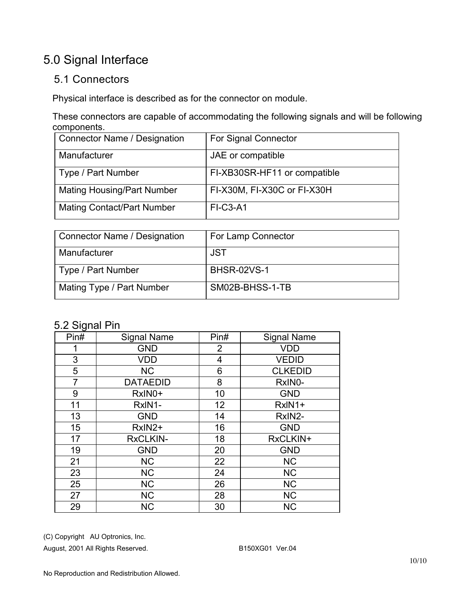## 5.0 Signal Interface

### 5.1 Connectors

Physical interface is described as for the connector on module.

These connectors are capable of accommodating the following signals and will be following components.

| <b>Connector Name / Designation</b> | <b>For Signal Connector</b>  |
|-------------------------------------|------------------------------|
| Manufacturer                        | JAE or compatible            |
| Type / Part Number                  | FI-XB30SR-HF11 or compatible |
| <b>Mating Housing/Part Number</b>   | FI-X30M, FI-X30C or FI-X30H  |
| <b>Mating Contact/Part Number</b>   | <b>FI-C3-A1</b>              |

| Connector Name / Designation | For Lamp Connector |
|------------------------------|--------------------|
| Manufacturer                 | JST                |
| Type / Part Number           | <b>BHSR-02VS-1</b> |
| Mating Type / Part Number    | SM02B-BHSS-1-TB    |

### 5.2 Signal Pin

| ◡<br>Pin# | <b>Signal Name</b> | Pin#           | <b>Signal Name</b> |
|-----------|--------------------|----------------|--------------------|
|           | <b>GND</b>         | $\overline{2}$ | <b>VDD</b>         |
| 3         | <b>VDD</b>         | 4              | <b>VEDID</b>       |
| 5         | <b>NC</b>          | 6              | <b>CLKEDID</b>     |
| 7         | <b>DATAEDID</b>    | 8              | RxIN0-             |
| 9         | RxIN0+             | 10             | <b>GND</b>         |
| 11        | RxIN1-             | 12             | RxIN1+             |
| 13        | <b>GND</b>         | 14             | RxIN2-             |
| 15        | RxIN2+             | 16             | <b>GND</b>         |
| 17        | <b>RxCLKIN-</b>    | 18             | RxCLKIN+           |
| 19        | <b>GND</b>         | 20             | <b>GND</b>         |
| 21        | <b>NC</b>          | 22             | <b>NC</b>          |
| 23        | <b>NC</b>          | 24             | <b>NC</b>          |
| 25        | <b>NC</b>          | 26             | <b>NC</b>          |
| 27        | <b>NC</b>          | 28             | <b>NC</b>          |
| 29        | <b>NC</b>          | 30             | <b>NC</b>          |

(C) Copyright AU Optronics, Inc.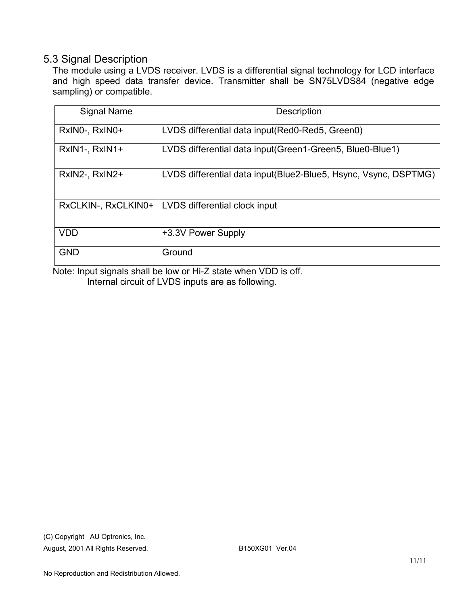#### 5.3 Signal Description

The module using a LVDS receiver. LVDS is a differential signal technology for LCD interface and high speed data transfer device. Transmitter shall be SN75LVDS84 (negative edge sampling) or compatible.

| Signal Name         | <b>Description</b>                                               |
|---------------------|------------------------------------------------------------------|
| RxINO-, RxINO+      | LVDS differential data input (Red0-Red5, Green0)                 |
| RxIN1-, RxIN1+      | LVDS differential data input (Green1-Green5, Blue0-Blue1)        |
| RxIN2-, RxIN2+      | LVDS differential data input (Blue2-Blue5, Hsync, Vsync, DSPTMG) |
| RxCLKIN-, RxCLKIN0+ | LVDS differential clock input                                    |
| <b>VDD</b>          | +3.3V Power Supply                                               |
| <b>GND</b>          | Ground                                                           |

Note: Input signals shall be low or Hi-Z state when VDD is off. Internal circuit of LVDS inputs are as following.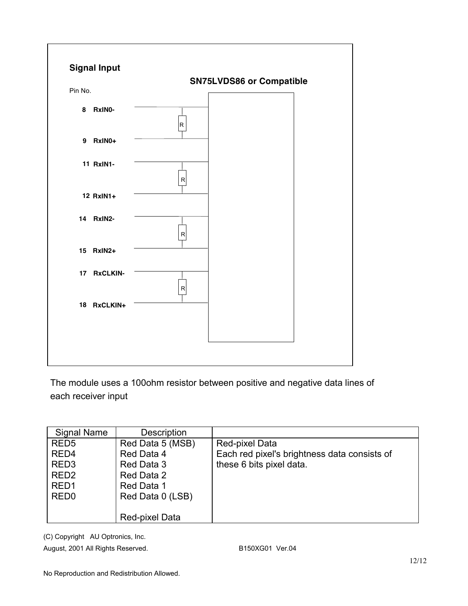

The module uses a 100ohm resistor between positive and negative data lines of each receiver input

| <b>Signal Name</b> | <b>Description</b> |                                              |
|--------------------|--------------------|----------------------------------------------|
| RED <sub>5</sub>   | Red Data 5 (MSB)   | Red-pixel Data                               |
| RED <sub>4</sub>   | Red Data 4         | Each red pixel's brightness data consists of |
| RED <sub>3</sub>   | Red Data 3         | these 6 bits pixel data.                     |
| RED <sub>2</sub>   | Red Data 2         |                                              |
| RED <sub>1</sub>   | Red Data 1         |                                              |
| RED <sub>0</sub>   | Red Data 0 (LSB)   |                                              |
|                    |                    |                                              |
|                    | Red-pixel Data     |                                              |

(C) Copyright AU Optronics, Inc.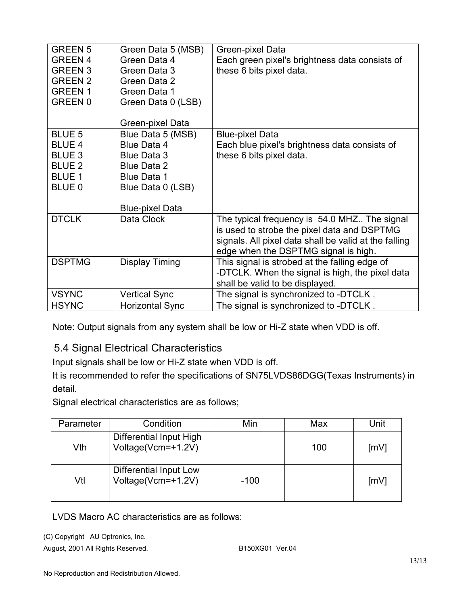| <b>GREEN 5</b><br><b>GREEN 4</b><br><b>GREEN 3</b><br><b>GREEN 2</b><br><b>GREEN 1</b><br><b>GREEN 0</b> | Green Data 5 (MSB)<br>Green Data 4<br>Green Data 3<br>Green Data 2<br>Green Data 1<br>Green Data 0 (LSB)                | Green-pixel Data<br>Each green pixel's brightness data consists of<br>these 6 bits pixel data.                                                                                               |
|----------------------------------------------------------------------------------------------------------|-------------------------------------------------------------------------------------------------------------------------|----------------------------------------------------------------------------------------------------------------------------------------------------------------------------------------------|
|                                                                                                          | Green-pixel Data                                                                                                        |                                                                                                                                                                                              |
| <b>BLUE 5</b><br><b>BLUE 4</b><br><b>BLUE 3</b><br><b>BLUE 2</b><br><b>BLUE 1</b><br>BLUE 0              | Blue Data 5 (MSB)<br><b>Blue Data 4</b><br>Blue Data 3<br><b>Blue Data 2</b><br><b>Blue Data 1</b><br>Blue Data 0 (LSB) | <b>Blue-pixel Data</b><br>Each blue pixel's brightness data consists of<br>these 6 bits pixel data.                                                                                          |
| <b>DTCLK</b>                                                                                             | <b>Blue-pixel Data</b><br>Data Clock                                                                                    | The typical frequency is 54.0 MHZ The signal<br>is used to strobe the pixel data and DSPTMG<br>signals. All pixel data shall be valid at the falling<br>edge when the DSPTMG signal is high. |
| <b>DSPTMG</b>                                                                                            | Display Timing                                                                                                          | This signal is strobed at the falling edge of<br>-DTCLK. When the signal is high, the pixel data<br>shall be valid to be displayed.                                                          |
| <b>VSYNC</b>                                                                                             | <b>Vertical Sync</b>                                                                                                    | The signal is synchronized to -DTCLK.                                                                                                                                                        |
| <b>HSYNC</b>                                                                                             | <b>Horizontal Sync</b>                                                                                                  | The signal is synchronized to -DTCLK.                                                                                                                                                        |

Note: Output signals from any system shall be low or Hi-Z state when VDD is off.

### 5.4 Signal Electrical Characteristics

Input signals shall be low or Hi-Z state when VDD is off.

It is recommended to refer the specifications of SN75LVDS86DGG(Texas Instruments) in detail.

Signal electrical characteristics are as follows;

| Parameter | Condition                                     | Min    | Max | Unit |
|-----------|-----------------------------------------------|--------|-----|------|
| Vth       | Differential Input High<br>Voltage(Vcm=+1.2V) |        | 100 | [mV] |
| Vtl       | Differential Input Low<br>Voltage(Vcm=+1.2V)  | $-100$ |     | [mV] |

LVDS Macro AC characteristics are as follows:

(C) Copyright AU Optronics, Inc.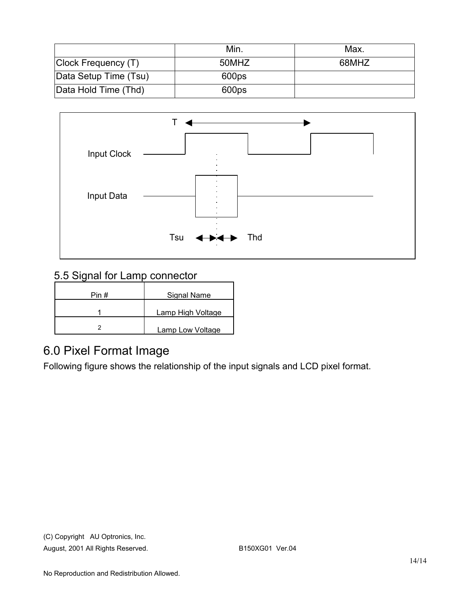|                       | Min.  | Max.  |
|-----------------------|-------|-------|
| Clock Frequency (T)   | 50MHZ | 68MHZ |
| Data Setup Time (Tsu) | 600ps |       |
| Data Hold Time (Thd)  | 600ps |       |



### 5.5 Signal for Lamp connector

| Pin # | Signal Name       |
|-------|-------------------|
|       | Lamp High Voltage |
|       | Lamp Low Voltage  |

## 6.0 Pixel Format Image

Following figure shows the relationship of the input signals and LCD pixel format.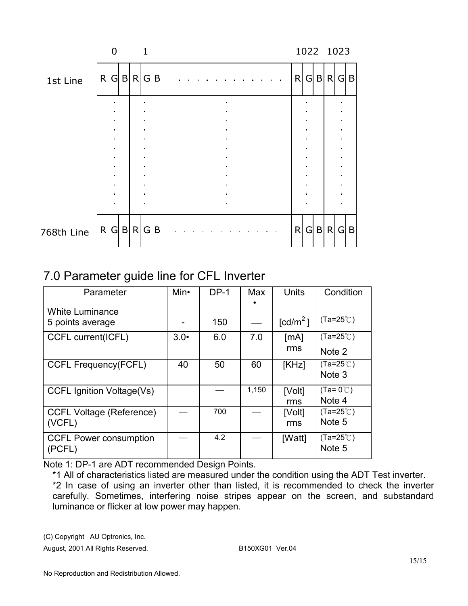|            |   | $\Omega$ |       |       | 1              |     |              |   |   |     | 1022 1023 |   |
|------------|---|----------|-------|-------|----------------|-----|--------------|---|---|-----|-----------|---|
| 1st Line   | R |          |       | G B R |                | G B | $\mathsf{R}$ | G |   | B R | GIB       |   |
|            |   |          |       |       |                |     |              |   |   |     |           |   |
|            |   |          |       |       |                |     |              |   |   |     |           |   |
|            |   |          |       |       | ٠              |     |              |   |   |     |           |   |
|            |   | ٠        |       |       | ٠              |     |              |   |   |     |           |   |
|            |   | ٠        |       |       | $\blacksquare$ |     |              |   |   |     |           |   |
|            |   |          |       |       |                |     |              |   |   |     |           |   |
|            |   |          |       |       |                |     |              |   |   |     |           |   |
| 768th Line |   |          | R G B | R     | G              | B   | R            | G | B | R   | G         | B |

## 7.0 Parameter guide line for CFL Inverter

| Parameter                                  | Min•         | $DP-1$ | Max   | Units                            | Condition                               |
|--------------------------------------------|--------------|--------|-------|----------------------------------|-----------------------------------------|
| <b>White Luminance</b><br>5 points average |              | 150    |       | $\text{\rm [cd/m}^2\text{\rm ]}$ | $(Ta=25^{\circ}C)$                      |
| <b>CCFL current(ICFL)</b>                  | $3.0\bullet$ | 6.0    | 7.0   | [mA]<br>rms                      | $(Ta=25^{\circ}C)$<br>Note 2            |
| <b>CCFL Frequency(FCFL)</b>                | 40           | 50     | 60    | [KHz]                            | $(Ta=25^{\circ}C)$<br>Note <sub>3</sub> |
| <b>CCFL Ignition Voltage(Vs)</b>           |              |        | 1,150 | [Volt]<br>rms                    | $(Ta=0^{\circ}C)$<br>Note 4             |
| <b>CCFL Voltage (Reference)</b><br>(VCFL)  |              | 700    |       | [Volt]<br>rms                    | $(Ta=25^{\circ}C)$<br>Note 5            |
| <b>CCFL Power consumption</b><br>(PCFL)    |              | 4.2    |       | [Watt]                           | $(Ta=25^{\circ}C)$<br>Note 5            |

Note 1: DP-1 are ADT recommended Design Points.

\*1 All of characteristics listed are measured under the condition using the ADT Test inverter. \*2 In case of using an inverter other than listed, it is recommended to check the inverter carefully. Sometimes, interfering noise stripes appear on the screen, and substandard luminance or flicker at low power may happen.

(C) Copyright AU Optronics, Inc.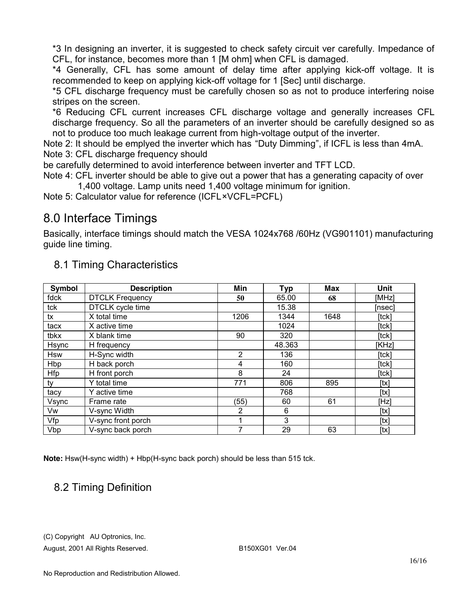\*3 In designing an inverter, it is suggested to check safety circuit ver carefully. Impedance of CFL, for instance, becomes more than 1 [M ohm] when CFL is damaged.

\*4 Generally, CFL has some amount of delay time after applying kick-off voltage. It is recommended to keep on applying kick-off voltage for 1 [Sec] until discharge.

\*5 CFL discharge frequency must be carefully chosen so as not to produce interfering noise stripes on the screen.

\*6 Reducing CFL current increases CFL discharge voltage and generally increases CFL discharge frequency. So all the parameters of an inverter should be carefully designed so as not to produce too much leakage current from high-voltage output of the inverter.

Note 2: It should be emplyed the inverter which has "Duty Dimming", if ICFL is less than 4mA. Note 3: CFL discharge frequency should

be carefully determined to avoid interference between inverter and TFT LCD.

Note 4: CFL inverter should be able to give out a power that has a generating capacity of over 1,400 voltage. Lamp units need 1,400 voltage minimum for ignition.

Note 5: Calculator value for reference (ICFL×VCFL=PCFL)

## 8.0 Interface Timings

Basically, interface timings should match the VESA 1024x768 /60Hz (VG901101) manufacturing guide line timing.

| Symbol     | <b>Description</b>     | Min            | <b>Typ</b> | <b>Max</b> | Unit   |
|------------|------------------------|----------------|------------|------------|--------|
| fdck       | <b>DTCLK Frequency</b> | 50             | 65.00      | 68         | [MHz]  |
| tck        | DTCLK cycle time       |                | 15.38      |            | [nsec] |
| tx         | X total time           | 1206           | 1344       | 1648       | [tck]  |
| tacx       | X active time          |                | 1024       |            | [tck]  |
| tbkx       | X blank time           | 90             | 320        |            | [tck]  |
| Hsync      | H frequency            |                | 48.363     |            | [KHz]  |
| <b>Hsw</b> | H-Sync width           | $\overline{2}$ | 136        |            | [tck]  |
| Hbp        | H back porch           | 4              | 160        |            | [tck]  |
| Hfp        | H front porch          | 8              | 24         |            | [tck]  |
| tv         | Y total time           | 771            | 806        | 895        | [tx]   |
| tacy       | Y active time          |                | 768        |            | [tx]   |
| Vsync      | Frame rate             | (55)           | 60         | 61         | [Hz]   |
| Vw         | V-sync Width           | 2              | 6          |            | [tx]   |
| Vfp        | V-sync front porch     |                | 3          |            | [tx]   |
| Vbp        | V-sync back porch      | 7              | 29         | 63         | [tx]   |

### 8.1 Timing Characteristics

**Note:** Hsw(H-sync width) + Hbp(H-sync back porch) should be less than 515 tck.

### 8.2 Timing Definition

(C) Copyright AU Optronics, Inc.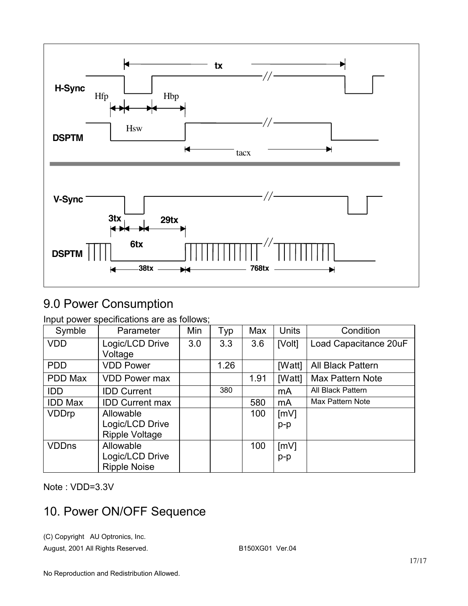

# 9.0 Power Consumption

Input power specifications are as follows;

| Symble         | Parameter                              | Min | Typ  | Max  | <b>Units</b> | Condition               |
|----------------|----------------------------------------|-----|------|------|--------------|-------------------------|
| <b>VDD</b>     | Logic/LCD Drive                        | 3.0 | 3.3  | 3.6  | [Volt]       | Load Capacitance 20uF   |
|                | Voltage                                |     |      |      |              |                         |
| <b>PDD</b>     | <b>VDD Power</b>                       |     | 1.26 |      | [Watt]       | All Black Pattern       |
| PDD Max        | <b>VDD Power max</b>                   |     |      | 1.91 | [Watt]       | Max Pattern Note        |
| <b>IDD</b>     | <b>IDD Current</b>                     |     | 380  |      | mA           | All Black Pattern       |
| <b>IDD Max</b> | <b>IDD Current max</b>                 |     |      | 580  | mA           | <b>Max Pattern Note</b> |
| <b>VDDrp</b>   | Allowable                              |     |      | 100  | [mV]         |                         |
|                | Logic/LCD Drive                        |     |      |      | $p-p$        |                         |
|                | Ripple Voltage                         |     |      |      |              |                         |
| <b>VDDns</b>   | Allowable                              |     |      | 100  | [mV]         |                         |
|                | Logic/LCD Drive<br><b>Ripple Noise</b> |     |      |      | $p-p$        |                         |

Note : VDD=3.3V

## 10. Power ON/OFF Sequence

(C) Copyright AU Optronics, Inc.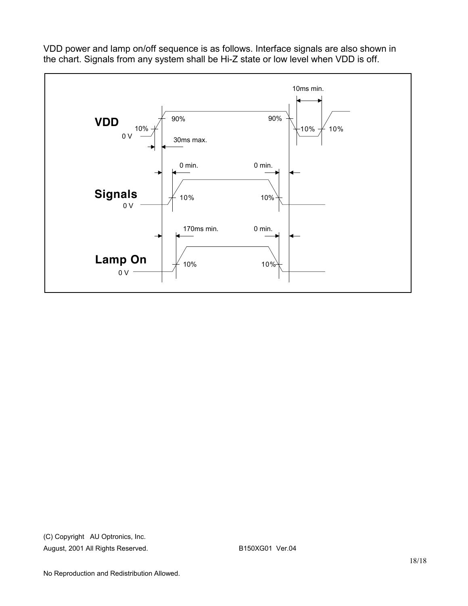

VDD power and lamp on/off sequence is as follows. Interface signals are also shown in the chart. Signals from any system shall be Hi-Z state or low level when VDD is off.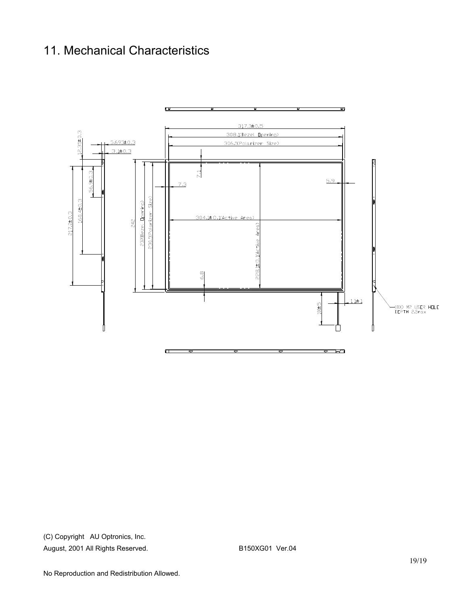## 11. Mechanical Characteristics